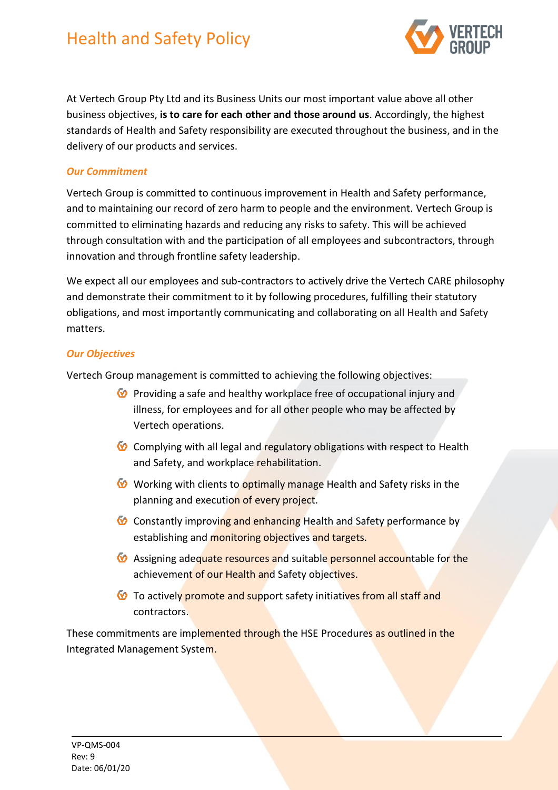# Health and Safety Policy



At Vertech Group Pty Ltd and its Business Units our most important value above all other business objectives, **is to care for each other and those around us**. Accordingly, the highest standards of Health and Safety responsibility are executed throughout the business, and in the delivery of our products and services.

## *Our Commitment*

Vertech Group is committed to continuous improvement in Health and Safety performance, and to maintaining our record of zero harm to people and the environment. Vertech Group is committed to eliminating hazards and reducing any risks to safety. This will be achieved through consultation with and the participation of all employees and subcontractors, through innovation and through frontline safety leadership.

We expect all our employees and sub-contractors to actively drive the Vertech CARE philosophy and demonstrate their commitment to it by following procedures, fulfilling their statutory obligations, and most importantly communicating and collaborating on all Health and Safety matters.

#### *Our Objectives*

Vertech Group management is committed to achieving the following objectives:

- $\bullet$  Providing a safe and healthy workplace free of occupational injury and illness, for employees and for all other people who may be affected by Vertech operations.
- $\bullet$  Complying with all legal and regulatory obligations with respect to Health and Safety, and workplace rehabilitation.
- W Working with clients to **optimally manage** Health and Safety risks in the planning and execution of every project.
- Constantly improving and enhancing Health and Safety performance by establishing and monitoring objectives and targets.
- $\bullet$  Assigning adequate resources and suitable personnel accountable for the achievement of our Health and Safety objectives.
- To actively promote and support safety initiatives from all staff and contractors.

These commitments are implemented through the HSE Procedures as outlined in the Integrated Management System.